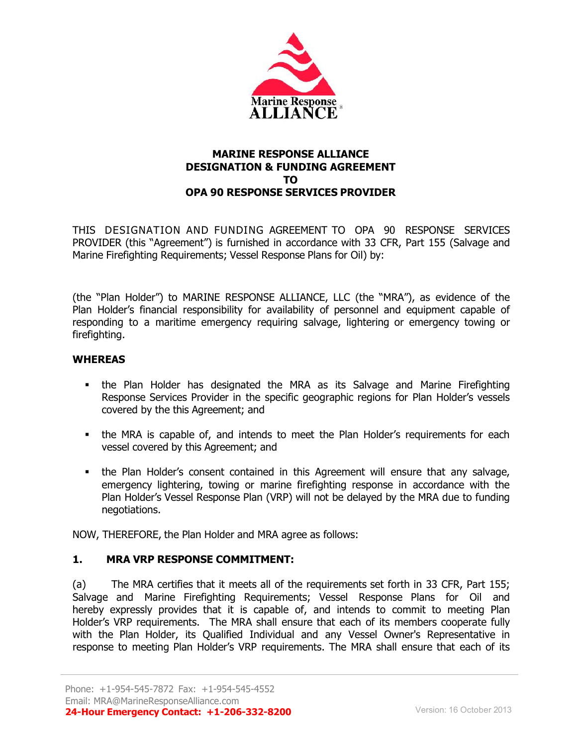

#### **MARINE RESPONSE ALLIANCE DESIGNATION & FUNDING AGREEMENT TO OPA 90 RESPONSE SERVICES PROVIDER**

THIS DESIGNATION AND FUNDING AGREEMENT TO OPA 90 RESPONSE SERVICES PROVIDER (this "Agreement") is furnished in accordance with 33 CFR, Part 155 (Salvage and Marine Firefighting Requirements; Vessel Response Plans for Oil) by:

(the "Plan Holder") to MARINE RESPONSE ALLIANCE, LLC (the "MRA"), as evidence of the Plan Holder's financial responsibility for availability of personnel and equipment capable of responding to a maritime emergency requiring salvage, lightering or emergency towing or firefighting.

### **WHEREAS**

- the Plan Holder has designated the MRA as its Salvage and Marine Firefighting Response Services Provider in the specific geographic regions for Plan Holder's vessels covered by the this Agreement; and
- the MRA is capable of, and intends to meet the Plan Holder's requirements for each vessel covered by this Agreement; and
- the Plan Holder's consent contained in this Agreement will ensure that any salvage, emergency lightering, towing or marine firefighting response in accordance with the Plan Holder's Vessel Response Plan (VRP) will not be delayed by the MRA due to funding negotiations.

NOW, THEREFORE, the Plan Holder and MRA agree as follows:

### **1. MRA VRP RESPONSE COMMITMENT:**

(a) The MRA certifies that it meets all of the requirements set forth in 33 CFR, Part 155; Salvage and Marine Firefighting Requirements; Vessel Response Plans for Oil and hereby expressly provides that it is capable of, and intends to commit to meeting Plan Holder's VRP requirements. The MRA shall ensure that each of its members cooperate fully with the Plan Holder, its Qualified Individual and any Vessel Owner's Representative in response to meeting Plan Holder's VRP requirements. The MRA shall ensure that each of its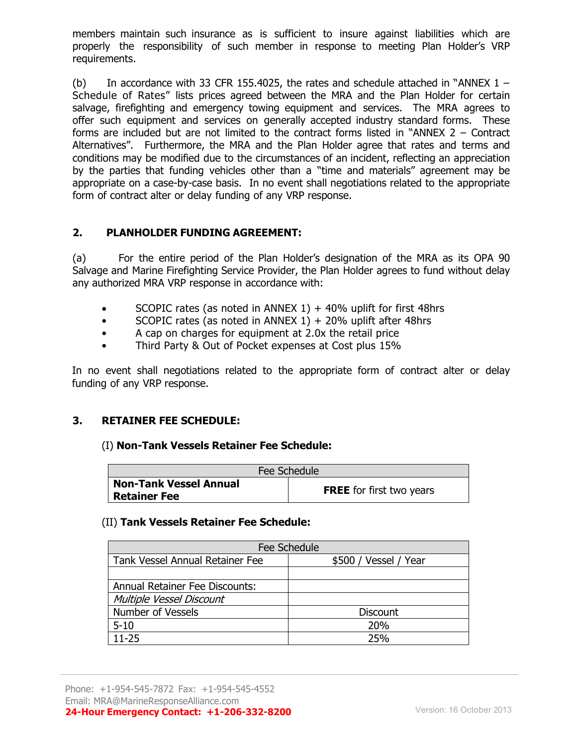members maintain such insurance as is sufficient to insure against liabilities which are properly the responsibility of such member in response to meeting Plan Holder's VRP requirements.

(b) In accordance with 33 CFR 155.4025, the rates and schedule attached in "ANNEX  $1 -$ Schedule of Rates" lists prices agreed between the MRA and the Plan Holder for certain salvage, firefighting and emergency towing equipment and services. The MRA agrees to offer such equipment and services on generally accepted industry standard forms. These forms are included but are not limited to the contract forms listed in "ANNEX 2 – Contract Alternatives". Furthermore, the MRA and the Plan Holder agree that rates and terms and conditions may be modified due to the circumstances of an incident, reflecting an appreciation by the parties that funding vehicles other than a "time and materials" agreement may be appropriate on a case-by-case basis. In no event shall negotiations related to the appropriate form of contract alter or delay funding of any VRP response.

### **2. PLANHOLDER FUNDING AGREEMENT:**

(a) For the entire period of the Plan Holder's designation of the MRA as its OPA 90 Salvage and Marine Firefighting Service Provider, the Plan Holder agrees to fund without delay any authorized MRA VRP response in accordance with:

- SCOPIC rates (as noted in ANNEX 1)  $+$  40% uplift for first 48hrs
- SCOPIC rates (as noted in ANNEX  $1$ ) + 20% uplift after 48hrs
- A cap on charges for equipment at 2.0x the retail price
- Third Party & Out of Pocket expenses at Cost plus 15%

In no event shall negotiations related to the appropriate form of contract alter or delay funding of any VRP response.

### **3. RETAINER FEE SCHEDULE:**

#### (I) **Non-Tank Vessels Retainer Fee Schedule:**

| Fee Schedule                                  |                                 |  |
|-----------------------------------------------|---------------------------------|--|
| <b>Non-Tank Vessel Annual</b><br>Retainer Fee | <b>FREE</b> for first two years |  |

#### (II) **Tank Vessels Retainer Fee Schedule:**

| Fee Schedule                          |                       |  |
|---------------------------------------|-----------------------|--|
| Tank Vessel Annual Retainer Fee       | \$500 / Vessel / Year |  |
|                                       |                       |  |
| <b>Annual Retainer Fee Discounts:</b> |                       |  |
| Multiple Vessel Discount              |                       |  |
| <b>Number of Vessels</b>              | <b>Discount</b>       |  |
| $5 - 10$                              | <b>20%</b>            |  |
| $11 - 25$                             | 25%                   |  |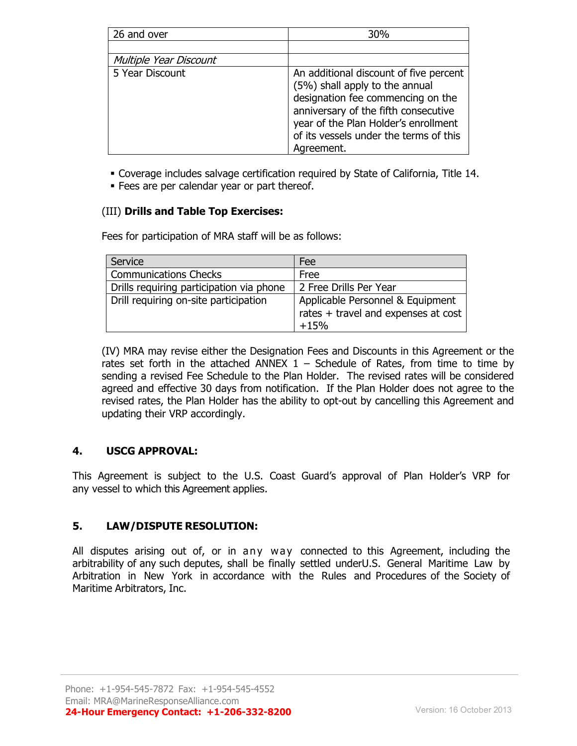| 26 and over            | 30%                                                                                                                                                                                                                                                   |
|------------------------|-------------------------------------------------------------------------------------------------------------------------------------------------------------------------------------------------------------------------------------------------------|
|                        |                                                                                                                                                                                                                                                       |
| Multiple Year Discount |                                                                                                                                                                                                                                                       |
| 5 Year Discount        | An additional discount of five percent<br>(5%) shall apply to the annual<br>designation fee commencing on the<br>anniversary of the fifth consecutive<br>year of the Plan Holder's enrollment<br>of its vessels under the terms of this<br>Agreement. |

Coverage includes salvage certification required by State of California, Title 14.

**Fees are per calendar year or part thereof.** 

# (III) **Drills and Table Top Exercises:**

Fees for participation of MRA staff will be as follows:

| Service                                  | Fee                                                                               |
|------------------------------------------|-----------------------------------------------------------------------------------|
| <b>Communications Checks</b>             | Free                                                                              |
| Drills requiring participation via phone | 2 Free Drills Per Year                                                            |
| Drill requiring on-site participation    | Applicable Personnel & Equipment<br>rates + travel and expenses at cost<br>$+15%$ |

(IV) MRA may revise either the Designation Fees and Discounts in this Agreement or the rates set forth in the attached ANNEX  $1$  – Schedule of Rates, from time to time by sending a revised Fee Schedule to the Plan Holder. The revised rates will be considered agreed and effective 30 days from notification. If the Plan Holder does not agree to the revised rates, the Plan Holder has the ability to opt-out by cancelling this Agreement and updating their VRP accordingly.

# **4. USCG APPROVAL:**

This Agreement is subject to the U.S. Coast Guard's approval of Plan Holder's VRP for any vessel to which this Agreement applies.

# **5. LAW/DISPUTE RESOLUTION:**

All disputes arising out of, or in any way connected to this Agreement, including the arbitrability of any such deputes, shall be finally settled underU.S. General Maritime Law by Arbitration in New York in accordance with the Rules and Procedures of the Society of Maritime Arbitrators, Inc.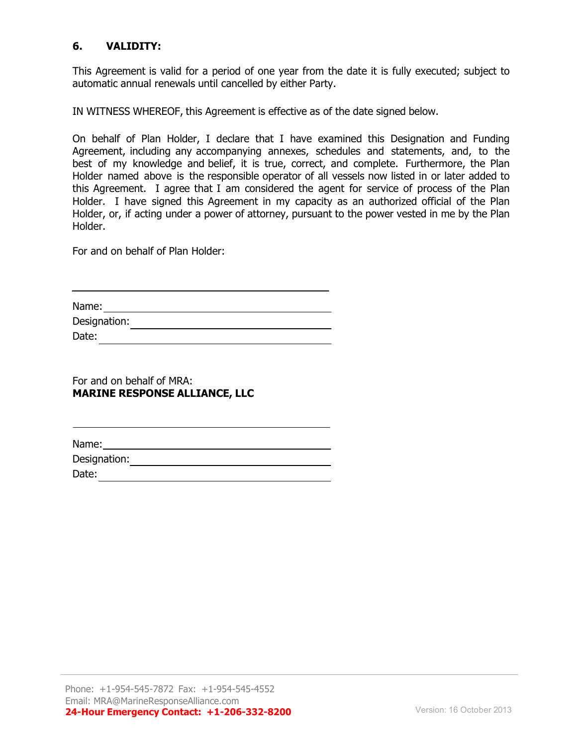## **6. VALIDITY:**

This Agreement is valid for a period of one year from the date it is fully executed; subject to automatic annual renewals until cancelled by either Party.

IN WITNESS WHEREOF, this Agreement is effective as of the date signed below.

On behalf of Plan Holder, I declare that I have examined this Designation and Funding Agreement, including any accompanying annexes, schedules and statements, and, to the best of my knowledge and belief, it is true, correct, and complete. Furthermore, the Plan Holder named above is the responsible operator of all vessels now listed in or later added to this Agreement. I agree that I am considered the agent for service of process of the Plan Holder. I have signed this Agreement in my capacity as an authorized official of the Plan Holder, or, if acting under a power of attorney, pursuant to the power vested in me by the Plan Holder.

For and on behalf of Plan Holder:

| Name:        |  |  |
|--------------|--|--|
| Designation: |  |  |
| Date:        |  |  |

For and on behalf of MRA: **MARINE RESPONSE ALLIANCE, LLC**

Name: Name: Name: Name: Name: Name: Name: Name: Name: Name: Name: Name: Name: Name: Name: Name: Name: Name: Name: Name: Name: Name: Name: Name: Name: Name: Name: Name: Name: Name: Name: Name: Name: Name: Name: Name: Name:

Designation: Date: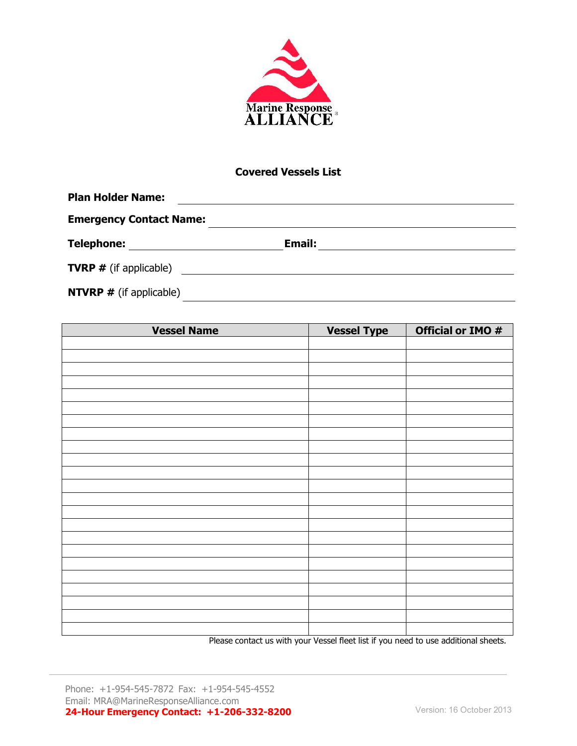

#### **Covered Vessels List**

| <b>Plan Holder Name:</b>        |               |  |
|---------------------------------|---------------|--|
| <b>Emergency Contact Name:</b>  |               |  |
| <b>Telephone:</b>               | <b>Email:</b> |  |
| <b>TVRP</b> $#$ (if applicable) |               |  |
| <b>NTVRP</b> # (if applicable)  |               |  |

| <b>Vessel Name</b>                               | <b>Vessel Type</b>                                                                                                                                                                                                                                                                                                                                                                   | Official or IMO #                                                             |
|--------------------------------------------------|--------------------------------------------------------------------------------------------------------------------------------------------------------------------------------------------------------------------------------------------------------------------------------------------------------------------------------------------------------------------------------------|-------------------------------------------------------------------------------|
|                                                  |                                                                                                                                                                                                                                                                                                                                                                                      |                                                                               |
|                                                  |                                                                                                                                                                                                                                                                                                                                                                                      |                                                                               |
|                                                  |                                                                                                                                                                                                                                                                                                                                                                                      |                                                                               |
|                                                  |                                                                                                                                                                                                                                                                                                                                                                                      |                                                                               |
|                                                  |                                                                                                                                                                                                                                                                                                                                                                                      |                                                                               |
|                                                  |                                                                                                                                                                                                                                                                                                                                                                                      |                                                                               |
|                                                  |                                                                                                                                                                                                                                                                                                                                                                                      |                                                                               |
|                                                  |                                                                                                                                                                                                                                                                                                                                                                                      |                                                                               |
|                                                  |                                                                                                                                                                                                                                                                                                                                                                                      |                                                                               |
|                                                  |                                                                                                                                                                                                                                                                                                                                                                                      |                                                                               |
|                                                  |                                                                                                                                                                                                                                                                                                                                                                                      |                                                                               |
|                                                  |                                                                                                                                                                                                                                                                                                                                                                                      |                                                                               |
|                                                  |                                                                                                                                                                                                                                                                                                                                                                                      |                                                                               |
|                                                  |                                                                                                                                                                                                                                                                                                                                                                                      |                                                                               |
|                                                  |                                                                                                                                                                                                                                                                                                                                                                                      |                                                                               |
|                                                  |                                                                                                                                                                                                                                                                                                                                                                                      |                                                                               |
|                                                  |                                                                                                                                                                                                                                                                                                                                                                                      |                                                                               |
|                                                  |                                                                                                                                                                                                                                                                                                                                                                                      |                                                                               |
|                                                  |                                                                                                                                                                                                                                                                                                                                                                                      |                                                                               |
|                                                  |                                                                                                                                                                                                                                                                                                                                                                                      |                                                                               |
|                                                  |                                                                                                                                                                                                                                                                                                                                                                                      |                                                                               |
|                                                  |                                                                                                                                                                                                                                                                                                                                                                                      |                                                                               |
| $\sim$ $\sim$ $\sim$<br>$\sim$<br><b>Service</b> | $\overline{a}$ $\overline{b}$ $\overline{c}$ $\overline{c}$ $\overline{c}$ $\overline{c}$ $\overline{c}$ $\overline{c}$ $\overline{c}$ $\overline{c}$ $\overline{c}$ $\overline{c}$ $\overline{c}$ $\overline{c}$ $\overline{c}$ $\overline{c}$ $\overline{c}$ $\overline{c}$ $\overline{c}$ $\overline{c}$ $\overline{c}$ $\overline{c}$ $\overline{c}$ $\overline{c}$ $\overline{$ | $\overline{1}$ and $\overline{1}$<br>$\sim$ $\sim$<br>$\sim$ $\sim$<br>$\sim$ |

Please contact us with your Vessel fleet list if you need to use additional sheets.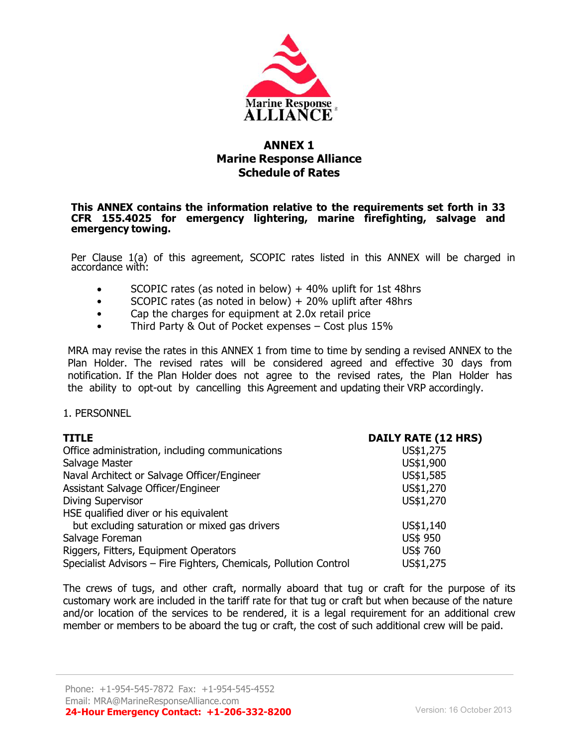

# **ANNEX 1 Marine Response Alliance Schedule of Rates**

#### **This ANNEX contains the information relative to the requirements set forth in 33 CFR 155.4025 for emergency lightering, marine firefighting, salvage and emergency towing.**

Per Clause 1(a) of this agreement, SCOPIC rates listed in this ANNEX will be charged in accordance with:

- SCOPIC rates (as noted in below)  $+$  40% uplift for 1st 48hrs
- SCOPIC rates (as noted in below) + 20% uplift after 48hrs
- Cap the charges for equipment at 2.0x retail price
- Third Party & Out of Pocket expenses Cost plus 15%

MRA may revise the rates in this ANNEX 1 from time to time by sending a revised ANNEX to the Plan Holder. The revised rates will be considered agreed and effective 30 days from notification. If the Plan Holder does not agree to the revised rates, the Plan Holder has the ability to opt-out by cancelling this Agreement and updating their VRP accordingly.

#### 1. PERSONNEL

| <b>TITLE</b>                                                      | <b>DAILY RATE (12 HRS)</b> |
|-------------------------------------------------------------------|----------------------------|
| Office administration, including communications                   | US\$1,275                  |
| Salvage Master                                                    | US\$1,900                  |
| Naval Architect or Salvage Officer/Engineer                       | US\$1,585                  |
| Assistant Salvage Officer/Engineer                                | US\$1,270                  |
| <b>Diving Supervisor</b>                                          | US\$1,270                  |
| HSE qualified diver or his equivalent                             |                            |
| but excluding saturation or mixed gas drivers                     | US\$1,140                  |
| Salvage Foreman                                                   | US\$ 950                   |
| Riggers, Fitters, Equipment Operators                             | US\$ 760                   |
| Specialist Advisors - Fire Fighters, Chemicals, Pollution Control | US\$1,275                  |

The crews of tugs, and other craft, normally aboard that tug or craft for the purpose of its customary work are included in the tariff rate for that tug or craft but when because of the nature and/or location of the services to be rendered, it is a legal requirement for an additional crew member or members to be aboard the tug or craft, the cost of such additional crew will be paid.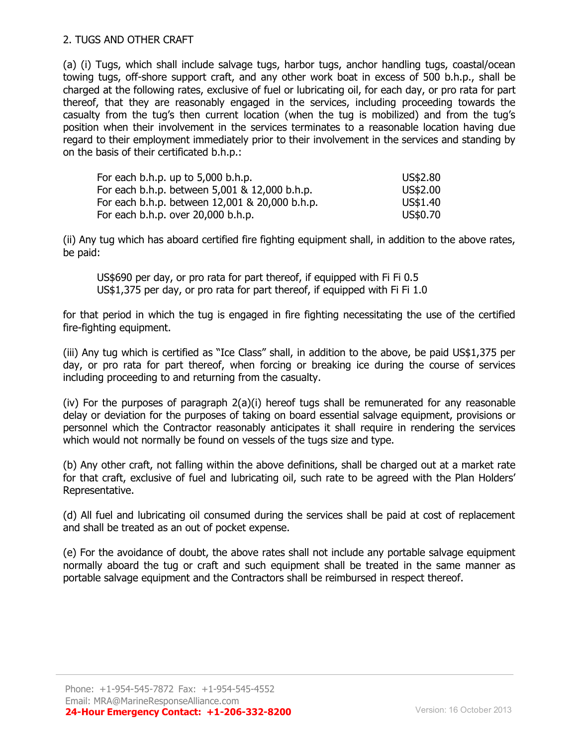#### 2. TUGS AND OTHER CRAFT

(a) (i) Tugs, which shall include salvage tugs, harbor tugs, anchor handling tugs, coastal/ocean towing tugs, off-shore support craft, and any other work boat in excess of 500 b.h.p., shall be charged at the following rates, exclusive of fuel or lubricating oil, for each day, or pro rata for part thereof, that they are reasonably engaged in the services, including proceeding towards the casualty from the tug's then current location (when the tug is mobilized) and from the tug's position when their involvement in the services terminates to a reasonable location having due regard to their employment immediately prior to their involvement in the services and standing by on the basis of their certificated b.h.p.:

| For each b.h.p. up to 5,000 b.h.p.             | US\$2.80 |
|------------------------------------------------|----------|
| For each b.h.p. between 5,001 & 12,000 b.h.p.  | US\$2.00 |
| For each b.h.p. between 12,001 & 20,000 b.h.p. | US\$1.40 |
| For each b.h.p. over 20,000 b.h.p.             | US\$0.70 |

(ii) Any tug which has aboard certified fire fighting equipment shall, in addition to the above rates, be paid:

US\$690 per day, or pro rata for part thereof, if equipped with Fi Fi 0.5 US\$1,375 per day, or pro rata for part thereof, if equipped with Fi Fi 1.0

for that period in which the tug is engaged in fire fighting necessitating the use of the certified fire-fighting equipment.

(iii) Any tug which is certified as "Ice Class" shall, in addition to the above, be paid US\$1,375 per day, or pro rata for part thereof, when forcing or breaking ice during the course of services including proceeding to and returning from the casualty.

(iv) For the purposes of paragraph 2(a)(i) hereof tugs shall be remunerated for any reasonable delay or deviation for the purposes of taking on board essential salvage equipment, provisions or personnel which the Contractor reasonably anticipates it shall require in rendering the services which would not normally be found on vessels of the tugs size and type.

(b) Any other craft, not falling within the above definitions, shall be charged out at a market rate for that craft, exclusive of fuel and lubricating oil, such rate to be agreed with the Plan Holders' Representative.

(d) All fuel and lubricating oil consumed during the services shall be paid at cost of replacement and shall be treated as an out of pocket expense.

(e) For the avoidance of doubt, the above rates shall not include any portable salvage equipment normally aboard the tug or craft and such equipment shall be treated in the same manner as portable salvage equipment and the Contractors shall be reimbursed in respect thereof.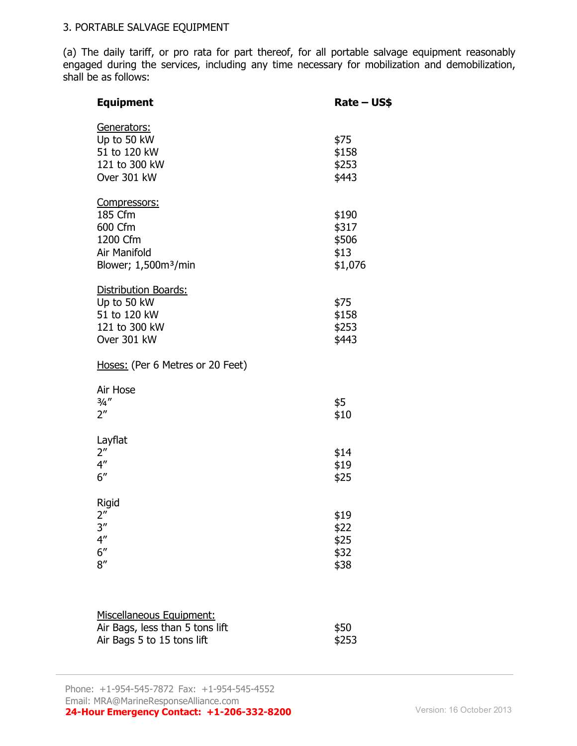#### 3. PORTABLE SALVAGE EQUIPMENT

(a) The daily tariff, or pro rata for part thereof, for all portable salvage equipment reasonably engaged during the services, including any time necessary for mobilization and demobilization, shall be as follows:

| <b>Equipment</b>                                                                                   | Rate – US\$                                |
|----------------------------------------------------------------------------------------------------|--------------------------------------------|
| Generators:<br>Up to 50 kW<br>51 to 120 kW<br>121 to 300 kW<br>Over 301 kW                         | \$75<br>\$158<br>\$253<br>\$443            |
| Compressors:<br>185 Cfm<br>600 Cfm<br>1200 Cfm<br>Air Manifold<br>Blower; 1,500m <sup>3</sup> /min | \$190<br>\$317<br>\$506<br>\$13<br>\$1,076 |
| Distribution Boards:<br>Up to 50 kW<br>51 to 120 kW<br>121 to 300 kW<br>Over 301 kW                | \$75<br>\$158<br>\$253<br>\$443            |
| Hoses: (Per 6 Metres or 20 Feet)                                                                   |                                            |
| Air Hose<br>$\frac{3}{4}$ "<br>$2^{\prime\prime}$                                                  | \$5<br>\$10                                |
| Layflat<br>2 <sup>''</sup><br>$4^{\prime\prime}$<br>6''                                            | \$14<br>\$19<br>\$25                       |
| Rigid<br>2 <sup>''</sup><br>3''<br>$4^{\prime\prime}$<br>6''<br>8''                                | \$19<br>\$22<br>\$25<br>\$32<br>\$38       |
|                                                                                                    |                                            |

| Miscellaneous Equipment:        |       |
|---------------------------------|-------|
| Air Bags, less than 5 tons lift | \$50  |
| Air Bags 5 to 15 tons lift      | \$253 |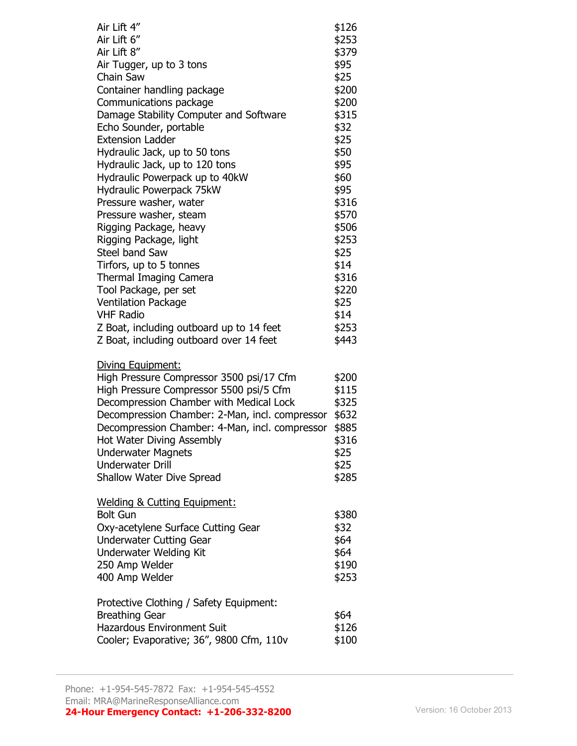| Air Lift 4"<br>Air Lift 6"<br>Air Lift 8"<br>Air Tugger, up to 3 tons<br>Chain Saw<br>Container handling package<br>Communications package<br>Damage Stability Computer and Software<br>Echo Sounder, portable<br><b>Extension Ladder</b><br>Hydraulic Jack, up to 50 tons<br>Hydraulic Jack, up to 120 tons<br>Hydraulic Powerpack up to 40kW<br>Hydraulic Powerpack 75kW<br>Pressure washer, water<br>Pressure washer, steam<br>Rigging Package, heavy<br>Rigging Package, light<br><b>Steel band Saw</b><br>Tirfors, up to 5 tonnes<br><b>Thermal Imaging Camera</b><br>Tool Package, per set<br><b>Ventilation Package</b><br><b>VHF Radio</b><br>Z Boat, including outboard up to 14 feet | \$126<br>\$253<br>\$379<br>\$95<br>\$25<br>\$200<br>\$200<br>\$315<br>\$32<br>\$25<br>\$50<br>\$95<br>\$60<br>\$95<br>\$316<br>\$570<br>\$506<br>\$253<br>\$25<br>\$14<br>\$316<br>\$220<br>\$25<br>\$14<br>\$253 |
|------------------------------------------------------------------------------------------------------------------------------------------------------------------------------------------------------------------------------------------------------------------------------------------------------------------------------------------------------------------------------------------------------------------------------------------------------------------------------------------------------------------------------------------------------------------------------------------------------------------------------------------------------------------------------------------------|-------------------------------------------------------------------------------------------------------------------------------------------------------------------------------------------------------------------|
| Z Boat, including outboard over 14 feet<br>Diving Equipment:<br>High Pressure Compressor 3500 psi/17 Cfm<br>High Pressure Compressor 5500 psi/5 Cfm<br>Decompression Chamber with Medical Lock<br>Decompression Chamber: 2-Man, incl. compressor<br>Decompression Chamber: 4-Man, incl. compressor<br>Hot Water Diving Assembly<br><b>Underwater Magnets</b><br><b>Underwater Drill</b><br>Shallow Water Dive Spread                                                                                                                                                                                                                                                                           | \$443<br>\$200<br>\$115<br>\$325<br>\$632<br>\$885<br>\$316<br>\$25<br>\$25<br>\$285                                                                                                                              |
| <b>Welding &amp; Cutting Equipment:</b><br><b>Bolt Gun</b><br>Oxy-acetylene Surface Cutting Gear<br><b>Underwater Cutting Gear</b><br><b>Underwater Welding Kit</b><br>250 Amp Welder<br>400 Amp Welder                                                                                                                                                                                                                                                                                                                                                                                                                                                                                        | \$380<br>\$32<br>\$64<br>\$64<br>\$190<br>\$253                                                                                                                                                                   |
| Protective Clothing / Safety Equipment:<br><b>Breathing Gear</b><br><b>Hazardous Environment Suit</b><br>Cooler; Evaporative; 36", 9800 Cfm, 110v                                                                                                                                                                                                                                                                                                                                                                                                                                                                                                                                              | \$64<br>\$126<br>\$100                                                                                                                                                                                            |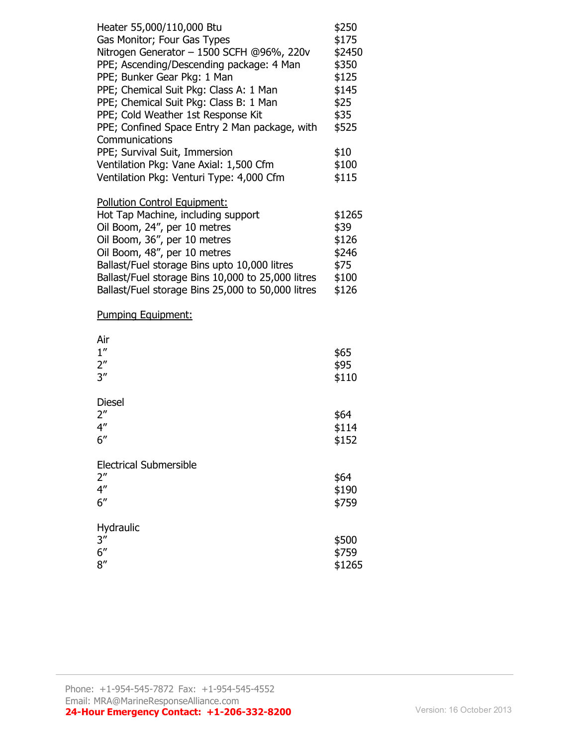| Heater 55,000/110,000 Btu<br>Gas Monitor; Four Gas Types<br>Nitrogen Generator - 1500 SCFH @96%, 220v<br>PPE; Ascending/Descending package: 4 Man<br>PPE; Bunker Gear Pkg: 1 Man<br>PPE; Chemical Suit Pkg: Class A: 1 Man<br>PPE; Chemical Suit Pkg: Class B: 1 Man<br>PPE; Cold Weather 1st Response Kit<br>PPE; Confined Space Entry 2 Man package, with<br>Communications | \$250<br>\$175<br>\$2450<br>\$350<br>\$125<br>\$145<br>\$25<br>\$35<br>\$525 |
|-------------------------------------------------------------------------------------------------------------------------------------------------------------------------------------------------------------------------------------------------------------------------------------------------------------------------------------------------------------------------------|------------------------------------------------------------------------------|
| PPE; Survival Suit, Immersion<br>Ventilation Pkg: Vane Axial: 1,500 Cfm<br>Ventilation Pkg: Venturi Type: 4,000 Cfm                                                                                                                                                                                                                                                           | \$10<br>\$100<br>\$115                                                       |
| Pollution Control Equipment:<br>Hot Tap Machine, including support<br>Oil Boom, 24", per 10 metres<br>Oil Boom, 36", per 10 metres<br>Oil Boom, 48", per 10 metres<br>Ballast/Fuel storage Bins upto 10,000 litres<br>Ballast/Fuel storage Bins 10,000 to 25,000 litres<br>Ballast/Fuel storage Bins 25,000 to 50,000 litres                                                  | \$1265<br>\$39<br>\$126<br>\$246<br>\$75<br>\$100<br>\$126                   |
| Pumping Equipment:                                                                                                                                                                                                                                                                                                                                                            |                                                                              |
| Air<br>1''<br>$2^{\prime\prime}$<br>3''                                                                                                                                                                                                                                                                                                                                       | \$65<br>\$95<br>\$110                                                        |
| <b>Diesel</b><br>$2^{\prime\prime}$<br>4 <sup>''</sup><br>6''                                                                                                                                                                                                                                                                                                                 | \$64<br>\$114<br>\$152                                                       |
| <b>Electrical Submersible</b><br>2 <sup>''</sup><br>4 <sup>''</sup><br>6''                                                                                                                                                                                                                                                                                                    | \$64<br>\$190<br>\$759                                                       |
| Hydraulic<br>3''<br>6''<br>8''                                                                                                                                                                                                                                                                                                                                                | \$500<br>\$759<br>\$1265                                                     |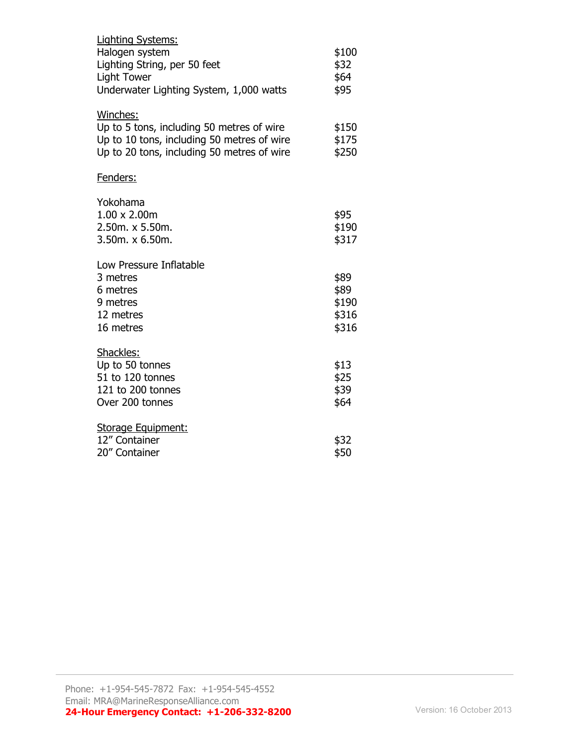| <b>Lighting Systems:</b>                                                                                                                          |                                         |
|---------------------------------------------------------------------------------------------------------------------------------------------------|-----------------------------------------|
| Halogen system<br>Lighting String, per 50 feet<br><b>Light Tower</b><br>Underwater Lighting System, 1,000 watts                                   | \$100<br>\$32<br>\$64<br>\$95           |
| Winches:<br>Up to 5 tons, including 50 metres of wire<br>Up to 10 tons, including 50 metres of wire<br>Up to 20 tons, including 50 metres of wire | \$150<br>\$175<br>\$250                 |
| Fenders:                                                                                                                                          |                                         |
| Yokohama<br>$1.00 \times 2.00$ m<br>2.50m. x 5.50m.<br>3.50m. x 6.50m.                                                                            | \$95<br>\$190<br>\$317                  |
| Low Pressure Inflatable<br>3 metres<br>6 metres<br>9 metres<br>12 metres<br>16 metres                                                             | \$89<br>\$89<br>\$190<br>\$316<br>\$316 |
| Shackles:<br>Up to 50 tonnes<br>51 to 120 tonnes<br>121 to 200 tonnes<br>Over 200 tonnes                                                          | \$13<br>\$25<br>\$39<br>\$64            |
| Storage Equipment:<br>12" Container<br>20" Container                                                                                              | \$32<br>\$50                            |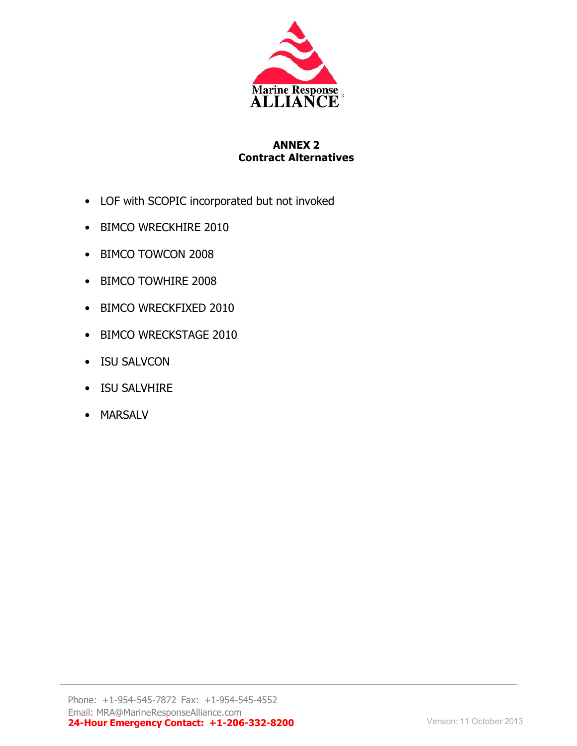

## **ANNEX 2 Contract Alternatives**

- LOF with SCOPIC incorporated but not invoked
- BIMCO WRECKHIRE 2010
- BIMCO TOWCON 2008
- BIMCO TOWHIRE 2008
- BIMCO WRECKFIXED 2010
- BIMCO WRECKSTAGE 2010
- ISU SALVCON
- ISU SALVHIRE
- MARSALV